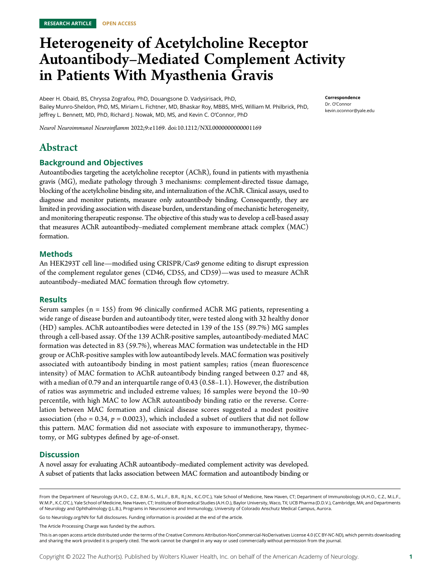# Heterogeneity of Acetylcholine Receptor Autoantibody–Mediated Complement Activity in Patients With Myasthenia Gravis

Abeer H. Obaid, BS, Chryssa Zografou, PhD, Douangsone D. Vadysirisack, PhD, Bailey Munro-Sheldon, PhD, MS, Miriam L. Fichtner, MD, Bhaskar Roy, MBBS, MHS, William M. Philbrick, PhD, Jeffrey L. Bennett, MD, PhD, Richard J. Nowak, MD, MS, and Kevin C. O'Connor, PhD

Correspondence Dr. O'Connor [kevin.oconnor@yale.edu](mailto:kevin.oconnor@yale.edu)

Neurol Neuroimmunol Neuroinflamm 2022;9:e1169. doi[:10.1212/NXI.0000000000001169](http://dx.doi.org/10.1212/NXI.0000000000001169)

# Abstract

# Background and Objectives

Autoantibodies targeting the acetylcholine receptor (AChR), found in patients with myasthenia gravis (MG), mediate pathology through 3 mechanisms: complement-directed tissue damage, blocking of the acetylcholine binding site, and internalization of the AChR. Clinical assays, used to diagnose and monitor patients, measure only autoantibody binding. Consequently, they are limited in providing association with disease burden, understanding of mechanistic heterogeneity, and monitoring therapeutic response. The objective of this study was to develop a cell-based assay that measures AChR autoantibody–mediated complement membrane attack complex (MAC) formation.

# Methods

An HEK293T cell line—modified using CRISPR/Cas9 genome editing to disrupt expression of the complement regulator genes (CD46, CD55, and CD59)—was used to measure AChR autoantibody–mediated MAC formation through flow cytometry.

# Results

Serum samples ( $n = 155$ ) from 96 clinically confirmed AChR MG patients, representing a wide range of disease burden and autoantibody titer, were tested along with 32 healthy donor (HD) samples. AChR autoantibodies were detected in 139 of the 155 (89.7%) MG samples through a cell-based assay. Of the 139 AChR-positive samples, autoantibody-mediated MAC formation was detected in 83 (59.7%), whereas MAC formation was undetectable in the HD group or AChR-positive samples with low autoantibody levels. MAC formation was positively associated with autoantibody binding in most patient samples; ratios (mean fluorescence intensity) of MAC formation to AChR autoantibody binding ranged between 0.27 and 48, with a median of 0.79 and an interquartile range of 0.43 (0.58–1.1). However, the distribution of ratios was asymmetric and included extreme values; 16 samples were beyond the 10–90 percentile, with high MAC to low AChR autoantibody binding ratio or the reverse. Correlation between MAC formation and clinical disease scores suggested a modest positive association (rho = 0.34,  $p = 0.0023$ ), which included a subset of outliers that did not follow this pattern. MAC formation did not associate with exposure to immunotherapy, thymectomy, or MG subtypes defined by age-of-onset.

# **Discussion**

A novel assay for evaluating AChR autoantibody–mediated complement activity was developed. A subset of patients that lacks association between MAC formation and autoantibody binding or

Go to [Neurology.org/NN](https://nn.neurology.org/content/9/4/e169/tab-article-info) for full disclosures. Funding information is provided at the end of the article.

The Article Processing Charge was funded by the authors.

From the Department of Neurology (A.H.O., C.Z., B.M.-S., M.L.F., B.R., R.J.N., K.C.O'C.), Yale School of Medicine, New Haven, CT; Department of Immunobiology (A.H.O., C.Z., M.L.F., W.M.P., K.C.O'C.), Yale School of Medicine, New Haven, CT; Institute of Biomedical Studies (A.H.O.), Baylor University, Waco, TX; UCB Pharma (D.D.V.), Cambridge, MA; and Departments of Neurology and Ophthalmology (J.L.B.), Programs in Neuroscience and Immunology, University of Colorado Anschutz Medical Campus, Aurora.

This is an open access article distributed under the terms of the [Creative Commons Attribution-NonCommercial-NoDerivatives License 4.0 \(CC BY-NC-ND\),](http://creativecommons.org/licenses/by-nc-nd/4.0/) which permits downloading and sharing the work provided it is properly cited. The work cannot be changed in any way or used commercially without permission from the journal.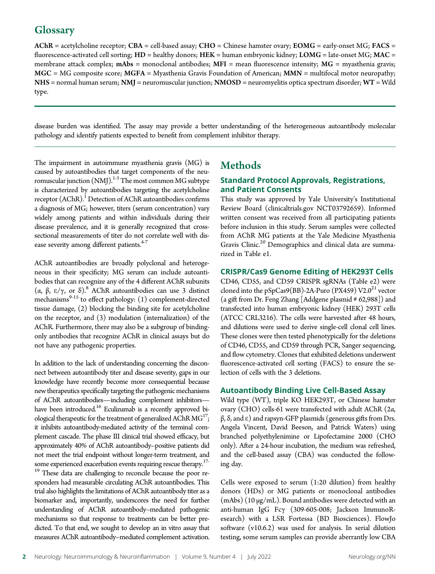# **Glossary**

 $AChR$  = acetylcholine receptor;  $CBA$  = cell-based assay;  $CHO$  = Chinese hamster ovary;  $EOMG$  = early-onset MG; FACS = fluorescence-activated cell sorting;  $HD =$  healthy donors;  $HEK =$  human embryonic kidney;  $LOMG =$  late-onset MG;  $MAC =$ membrane attack complex;  $mAbs =$  monoclonal antibodies;  $MFI =$  mean fluorescence intensity;  $MG =$  myasthenia gravis; MGC = MG composite score; MGFA = Myasthenia Gravis Foundation of American; MMN = multifocal motor neuropathy; NHS = normal human serum; NMJ = neuromuscular junction; NMOSD = neuromyelitis optica spectrum disorder; WT = Wild type.

disease burden was identified. The assay may provide a better understanding of the heterogeneous autoantibody molecular pathology and identify patients expected to benefit from complement inhibitor therapy.

The impairment in autoimmune myasthenia gravis (MG) is caused by autoantibodies that target components of the neuromuscular junction  $(NM)$ .<sup>1-3</sup> The most common MG subtype is characterized by autoantibodies targeting the acetylcholine receptor  $(AChR).<sup>1</sup>$  Detection of AChR autoantibodies confirms a diagnosis of MG; however, titers (serum concentration) vary widely among patients and within individuals during their disease prevalence, and it is generally recognized that crosssectional measurements of titer do not correlate well with disease severity among different patients.<sup>4-7</sup>

AChR autoantibodies are broadly polyclonal and heterogeneous in their specificity; MG serum can include autoantibodies that can recognize any of the 4 different AChR subunits (α, β, e/γ, or δ).8 AChR autoantibodies can use 3 distinct mechanisms $9-15$  to effect pathology: (1) complement-directed tissue damage, (2) blocking the binding site for acetylcholine on the receptor, and (3) modulation (internalization) of the AChR. Furthermore, there may also be a subgroup of bindingonly antibodies that recognize AChR in clinical assays but do not have any pathogenic properties.

In addition to the lack of understanding concerning the disconnect between autoantibody titer and disease severity, gaps in our knowledge have recently become more consequential because new therapeutics specifically targeting the pathogenic mechanisms of AChR autoantibodies—including complement inhibitors have been introduced.<sup>16</sup> Eculizumab is a recently approved biological therapeutic for the treatment of generalized AChR  $MG<sup>17</sup>$ ; it inhibits autoantibody-mediated activity of the terminal complement cascade. The phase III clinical trial showed efficacy, but approximately 40% of AChR autoantibody–positive patients did not meet the trial endpoint without longer-term treatment, and some experienced exacerbation events requiring rescue therapy.<sup>17-</sup>

<sup>19</sup> These data are challenging to reconcile because the poor responders had measurable circulating AChR autoantibodies. This trial also highlights the limitations of AChR autoantibody titer as a biomarker and, importantly, underscores the need for further understanding of AChR autoantibody–mediated pathogenic mechanisms so that response to treatments can be better predicted. To that end, we sought to develop an in vitro assay that measures AChR autoantibody–mediated complement activation.

# **Methods**

# Standard Protocol Approvals, Registrations, and Patient Consents

This study was approved by Yale University's Institutional Review Board ([clinicaltrials.gov](http://clinicaltrials.gov) NCT03792659). Informed written consent was received from all participating patients before inclusion in this study. Serum samples were collected from AChR MG patients at the Yale Medicine Myasthenia Gravis Clinic.<sup>20</sup> Demographics and clinical data are summarized in Table e1.

# CRISPR/Cas9 Genome Editing of HEK293T Cells

CD46, CD55, and CD59 CRISPR sgRNAs (Table e2) were cloned into the  $pSpCas9(BB)$ -2A-Puro (PX459) V2.0<sup>21</sup> vector (a gift from Dr. Feng Zhang [Addgene plasmid # 62,988]) and transfected into human embryonic kidney (HEK) 293T cells (ATCC CRL3216). The cells were harvested after 48 hours, and dilutions were used to derive single-cell clonal cell lines. These clones were then tested phenotypically for the deletions of CD46, CD55, and CD59 through PCR, Sanger sequencing, and flow cytometry. Clones that exhibited deletions underwent fluorescence-activated cell sorting (FACS) to ensure the selection of cells with the 3 deletions.

# Autoantibody Binding Live Cell-Based Assay

Wild type (WT), triple KO HEK293T, or Chinese hamster ovary (CHO) cells-61 were transfected with adult AChR (2α,  $β$ , δ, and ε) and rapsyn-GFP plasmids (generous gifts from Drs. Angela Vincent, David Beeson, and Patrick Waters) using branched polyethylenimine or Lipofectamine 2000 (CHO only). After a 24-hour incubation, the medium was refreshed, and the cell-based assay (CBA) was conducted the following day.

Cells were exposed to serum (1:20 dilution) from healthy donors (HDs) or MG patients or monoclonal antibodies (mAbs) (10 μg/mL). Bound antibodies were detected with an anti-human IgG Fcγ (309-605-008; Jackson ImmunoResearch) with a LSR Fortessa (BD Biosciences). FlowJo software (v10.6.2) was used for analysis. In serial dilution testing, some serum samples can provide aberrantly low CBA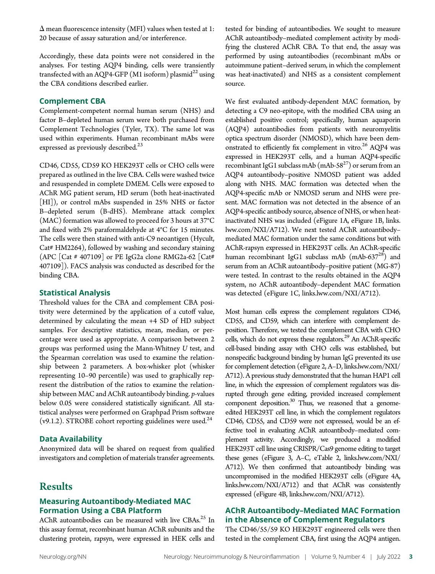$\Delta$  mean fluorescence intensity (MFI) values when tested at 1: 20 because of assay saturation and/or interference.

Accordingly, these data points were not considered in the analyses. For testing AQP4 binding, cells were transiently transfected with an AQP4-GFP (M1 isoform) plasmid<sup>22</sup> using the CBA conditions described earlier.

# Complement CBA

Complement-competent normal human serum (NHS) and factor B–depleted human serum were both purchased from Complement Technologies (Tyler, TX). The same lot was used within experiments. Human recombinant mAbs were expressed as previously described. $^{23}$ 

CD46, CD55, CD59 KO HEK293T cells or CHO cells were prepared as outlined in the live CBA. Cells were washed twice and resuspended in complete DMEM. Cells were exposed to AChR MG patient serum, HD serum (both heat-inactivated [HI]), or control mAbs suspended in 25% NHS or factor B–depleted serum (B-dHS). Membrane attack complex (MAC) formation was allowed to proceed for 3 hours at 37°C and fixed with 2% paraformaldehyde at 4°C for 15 minutes. The cells were then stained with anti-C9 neoantigen (Hycult, Cat# HM2264), followed by washing and secondary staining (APC [Cat # 407109] or PE IgG2a clone RMG2a-62 [Cat# 407109]). FACS analysis was conducted as described for the binding CBA.

# Statistical Analysis

Threshold values for the CBA and complement CBA positivity were determined by the application of a cutoff value, determined by calculating the mean +4 SD of HD subject samples. For descriptive statistics, mean, median, or percentage were used as appropriate. A comparison between 2 groups was performed using the Mann-Whitney U test, and the Spearman correlation was used to examine the relationship between 2 parameters. A box-whisker plot (whisker representing 10–90 percentile) was used to graphically represent the distribution of the ratios to examine the relationship between MAC and AChR autoantibody binding. p-values below 0.05 were considered statistically significant. All statistical analyses were performed on Graphpad Prism software (v9.1.2). STROBE cohort reporting guidelines were used.<sup>24</sup>

# Data Availability

Anonymized data will be shared on request from qualified investigators and completion of materials transfer agreements.

# **Results**

# Measuring Autoantibody-Mediated MAC Formation Using a CBA Platform

AChR autoantibodies can be measured with live CBAs.<sup>25</sup> In this assay format, recombinant human AChR subunits and the clustering protein, rapsyn, were expressed in HEK cells and

tested for binding of autoantibodies. We sought to measure AChR autoantibody–mediated complement activity by modifying the clustered AChR CBA. To that end, the assay was performed by using autoantibodies (recombinant mAbs or autoimmune patient–derived serum, in which the complement was heat-inactivated) and NHS as a consistent complement source.

We first evaluated antibody-dependent MAC formation, by detecting a C9 neo-epitope, with the modified CBA using an established positive control; specifically, human aquaporin (AQP4) autoantibodies from patients with neuromyelitis optica spectrum disorder (NMOSD), which have been demonstrated to efficiently fix complement in vitro.<sup>26</sup> AQP4 was expressed in HEK293T cells, and a human AQP4-specific recombinant IgG1 subclass mAb (mAb-58<sup>27</sup>) or serum from an AQP4 autoantibody–positive NMOSD patient was added along with NHS. MAC formation was detected when the AQP4-specific mAb or NMOSD serum and NHS were present. MAC formation was not detected in the absence of an AQP4-specific antibody source, absence of NHS, or when heatinactivated NHS was included (eFigure 1A, eFigure 1B, [links.](http://links.lww.com/NXI/A712) [lww.com/NXI/A712\)](http://links.lww.com/NXI/A712). We next tested AChR autoantibody– mediated MAC formation under the same conditions but with AChR-rapsyn expressed in HEK293T cells. An AChR-specific human recombinant IgG1 subclass mAb  $(mAb-637<sup>28</sup>)$  and serum from an AChR autoantibody–positive patient (MG-87) were tested. In contrast to the results obtained in the AQP4 system, no AChR autoantibody–dependent MAC formation was detected (eFigure 1C, [links.lww.com/NXI/A712](http://links.lww.com/NXI/A712)).

Most human cells express the complement regulators CD46, CD55, and CD59, which can interfere with complement deposition. Therefore, we tested the complement CBA with CHO cells, which do not express these regulators.<sup>29</sup> An AChR-specific cell-based binding assay with CHO cells was established, but nonspecific background binding by human IgG prevented its use for complement detection (eFigure 2, A–D, [links.lww.com/NXI/](http://links.lww.com/NXI/A712) [A712\)](http://links.lww.com/NXI/A712). A previous study demonstrated that the human HAP1 cell line, in which the expression of complement regulators was disrupted through gene editing, provided increased complement component deposition.<sup>30</sup> Thus, we reasoned that a genomeedited HEK293T cell line, in which the complement regulators CD46, CD55, and CD59 were not expressed, would be an effective tool in evaluating AChR autoantibody–mediated complement activity. Accordingly, we produced a modified HEK293T cell line using CRISPR/Cas9 genome editing to target these genes (eFigure 3, A–C, eTable 2, [links.lww.com/NXI/](http://links.lww.com/NXI/A712) [A712\)](http://links.lww.com/NXI/A712). We then confirmed that autoantibody binding was uncompromised in the modified HEK293T cells (eFigure 4A, [links.lww.com/NXI/A712](http://links.lww.com/NXI/A712)) and that AChR was consistently expressed (eFigure 4B, [links.lww.com/NXI/A712\)](http://links.lww.com/NXI/A712).

# AChR Autoantibody–Mediated MAC Formation in the Absence of Complement Regulators

The CD46/55/59 KO HEK293T engineered cells were then tested in the complement CBA, first using the AQP4 antigen.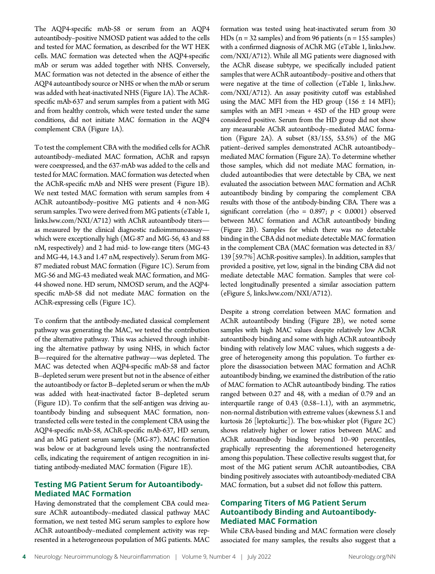The AQP4-specific mAb-58 or serum from an AQP4 autoantibody–positive NMOSD patient was added to the cells and tested for MAC formation, as described for the WT HEK cells. MAC formation was detected when the AQP4-specific mAb or serum was added together with NHS. Conversely, MAC formation was not detected in the absence of either the AQP4 autoantibody source or NHS or when the mAb or serum was added with heat-inactivated NHS (Figure 1A). The AChRspecific mAb-637 and serum samples from a patient with MG and from healthy controls, which were tested under the same conditions, did not initiate MAC formation in the AQP4 complement CBA (Figure 1A).

To test the complement CBA with the modified cells for AChR autoantibody–mediated MAC formation, AChR and rapsyn were coexpressed, and the 637-mAb was added to the cells and tested for MAC formation. MAC formation was detected when the AChR-specific mAb and NHS were present (Figure 1B). We next tested MAC formation with serum samples from 4 AChR autoantibody–positive MG patients and 4 non-MG serum samples. Two were derived from MG patients (eTable 1, [links.lww.com/NXI/A712\)](http://links.lww.com/NXI/A712) with AChR autoantibody titers as measured by the clinical diagnostic radioimmunoassay which were exceptionally high (MG-87 and MG-56, 43 and 88 nM, respectively) and 2 had mid- to low-range titers (MG-43 and MG-44, 14.3 and 1.47 nM, respectively). Serum from MG-87 mediated robust MAC formation (Figure 1C). Serum from MG-56 and MG-43 mediated weak MAC formation, and MG-44 showed none. HD serum, NMOSD serum, and the AQP4 specific mAb-58 did not mediate MAC formation on the AChR-expressing cells (Figure 1C).

To confirm that the antibody-mediated classical complement pathway was generating the MAC, we tested the contribution of the alternative pathway. This was achieved through inhibiting the alternative pathway by using NHS, in which factor B—required for the alternative pathway—was depleted. The MAC was detected when AQP4-specific mAb-58 and factor B–depleted serum were present but not in the absence of either the autoantibody or factor B–depleted serum or when the mAb was added with heat-inactivated factor B–depleted serum (Figure 1D). To confirm that the self-antigen was driving autoantibody binding and subsequent MAC formation, nontransfected cells were tested in the complement CBA using the AQP4-specific mAb-58, AChR-specific mAb-637, HD serum, and an MG patient serum sample (MG-87). MAC formation was below or at background levels using the nontransfected cells, indicating the requirement of antigen recognition in initiating antibody-mediated MAC formation (Figure 1E).

# Testing MG Patient Serum for Autoantibody-Mediated MAC Formation

Having demonstrated that the complement CBA could measure AChR autoantibody–mediated classical pathway MAC formation, we next tested MG serum samples to explore how AChR autoantibody–mediated complement activity was represented in a heterogeneous population of MG patients. MAC formation was tested using heat-inactivated serum from 30 HDs ( $n = 32$  samples) and from 96 patients ( $n = 155$  samples) with a confirmed diagnosis of AChR MG (eTable 1, [links.lww.](http://links.lww.com/NXI/A712) [com/NXI/A712\)](http://links.lww.com/NXI/A712). While all MG patients were diagnosed with the AChR disease subtype, we specifically included patient samples that were AChR autoantibody–positive and others that were negative at the time of collection (eTable 1, [links.lww.](http://links.lww.com/NXI/A712) [com/NXI/A712\)](http://links.lww.com/NXI/A712). An assay positivity cutoff was established using the MAC MFI from the HD group  $(156 \pm 14 \text{ mF1})$ ; samples with an MFI >mean + 4SD of the HD group were considered positive. Serum from the HD group did not show any measurable AChR autoantibody–mediated MAC formation (Figure 2A). A subset (83/155, 53.5%) of the MG patient–derived samples demonstrated AChR autoantibody– mediated MAC formation (Figure 2A). To determine whether those samples, which did not mediate MAC formation, included autoantibodies that were detectable by CBA, we next evaluated the association between MAC formation and AChR autoantibody binding by comparing the complement CBA results with those of the antibody-binding CBA. There was a significant correlation (rho = 0.897;  $p < 0.0001$ ) observed between MAC formation and AChR autoantibody binding (Figure 2B). Samples for which there was no detectable binding in the CBA did not mediate detectable MAC formation in the complement CBA (MAC formation was detected in 83/ 139 [59.7%] AChR-positive samples). In addition, samples that provided a positive, yet low, signal in the binding CBA did not mediate detectable MAC formation. Samples that were collected longitudinally presented a similar association pattern (eFigure 5, [links.lww.com/NXI/A712](http://links.lww.com/NXI/A712)).

Despite a strong correlation between MAC formation and AChR autoantibody binding (Figure 2B), we noted some samples with high MAC values despite relatively low AChR autoantibody binding and some with high AChR autoantibody binding with relatively low MAC values, which suggests a degree of heterogeneity among this population. To further explore the disassociation between MAC formation and AChR autoantibody binding, we examined the distribution of the ratio of MAC formation to AChR autoantibody binding. The ratios ranged between 0.27 and 48, with a median of 0.79 and an interquartile range of 0.43 (0.58–1.1), with an asymmetric, non-normal distribution with extreme values (skewness 5.1 and kurtosis 26 [leptokurtic]). The box-whisker plot (Figure 2C) shows relatively higher or lower ratios between MAC and AChR autoantibody binding beyond 10–90 percentiles, graphically representing the aforementioned heterogeneity among this population. These collective results suggest that, for most of the MG patient serum AChR autoantibodies, CBA binding positively associates with autoantibody-mediated CBA MAC formation, but a subset did not follow this pattern.

# Comparing Titers of MG Patient Serum Autoantibody Binding and Autoantibody-Mediated MAC Formation

While CBA-based binding and MAC formation were closely associated for many samples, the results also suggest that a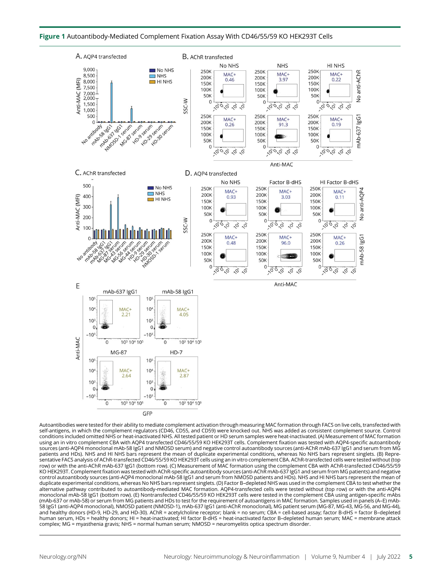

Autoantibodies were tested for their ability to mediate complement activation through measuring MAC formation through FACS on live cells, transfected with self-antigens, in which the complement regulators (CD46, CD55, and CD59) were knocked out. NHS was added as consistent complement source. Control conditions included omitted NHS or heat-inactivated NHS. All tested patient or HD serum samples were heat-inactivated. (A) Measurement of MAC formation using an in vitro complement CBA with AQP4 transfected CD46/55/59 KO HEK293T cells. Complement fixation was tested with AQP4-specific autoantibody sources (anti-AQP4 monoclonal mAb-58 IgG1 and NMOSD serum) and negative control autoantibody sources (anti-AChR mAb-637 IgG1 and serum from MG patients and HDs). NHS and HI NHS bars represent the mean of duplicate experimental conditions, whereas No NHS bars represent singlets. (B) Representative FACS analysis of AChR-transfected CD46/55/59 KO HEK293T cells using an in vitro complement CBA. AChR-transfected cells were tested without (top row) or with the anti-AChR mAb-637 IgG1 (bottom row). (C) Measurement of MAC formation using the complement CBA with AChR-transfected CD46/55/59 KO HEK293T. Complement fixation was tested with AChR-specific autoantibody sources (anti-AChR mAb-637 IgG1 and serum from MG patients) and negative control autoantibody sources (anti-AQP4 monoclonal mAb-58 IgG1 and serum from NMOSD patients and HDs). NHS and HI NHS bars represent the mean of duplicate experimental conditions, whereas No NHS bars represent singlets. (D) Factor B–depleted NHS was used in the complement CBA to test whether the alternative pathway contributed to autoantibody-mediated MAC formation. AQP4-transfected cells were tested without (top row) or with the anti-AQP4 monoclonal mAb-58 IgG1 (bottom row). (E) Nontransfected CD46/55/59 KO HEK293T cells were tested in the complement CBA using antigen-specific mAbs (mAb-637 or mAb-58) or serum from MG patients and HDs to test for the requirement of autoantigens in MAC formation. Samples used in panels (A–E) mAb-58 IgG1 (anti-AQP4 monoclonal), NMOSD patient (NMOSD-1), mAb-637 IgG1 (anti-AChR monoclonal), MG patient serum (MG-87, MG-43, MG-56, and MG-44), and healthy donors (HD-9, HD-29, and HD-30). AChR = acetylcholine receptor; blank = no serum; CBA = cell-based assay; factor B-dHS = factor B–depleted human serum, HDs = healthy donors; HI = heat-inactivated; HI factor B-dHS = heat-inactivated factor B–depleted human serum; MAC = membrane attack complex; MG = myasthenia gravis; NHS = normal human serum; NMOSD = neuromyelitis optica spectrum disorder.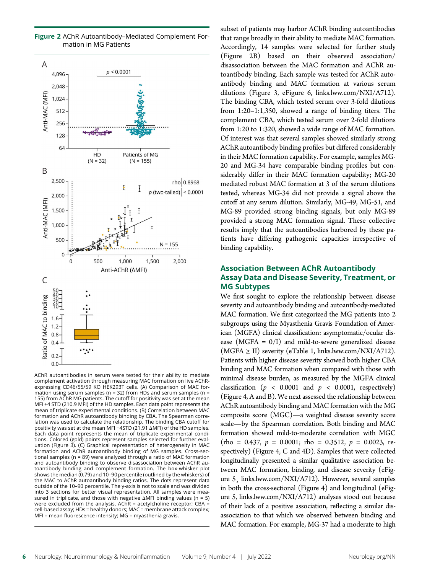

Figure 2 AChR Autoantibody–Mediated Complement Formation in MG Patients

AChR autoantibodies in serum were tested for their ability to mediate complement activation through measuring MAC formation on live AChRexpressing CD46/55/59 KO HEK293T cells. (A) Comparison of MAC formation using serum samples (n = 32) from HDs and serum samples (n = 155) from AChR MG patients. The cutoff for positivity was set at the mean MFI +4 STD (210.9 MFI) of the HD samples. Each data point represents the mean of triplicate experimental conditions. (B) Correlation between MAC formation and AChR autoantibody binding by CBA. The Spearman correlation was used to calculate the relationship. The binding CBA cutoff for positivity was set at the mean MFI +4STD (21.91  $\Delta$ MFI) of the HD samples. Each data point represents the mean of triplicate experimental conditions. Colored (gold) points represent samples selected for further evaluation (Figure 3). (C) Graphical representation of heterogeneity in MAC formation and AChR autoantibody binding of MG samples. Cross-sectional samples (n = 89) were analyzed through a ratio of MAC formation and autoantibody binding to observe disassociation between AChR autoantibody binding and complement formation. The box-whisker plot shows the median (0.79) and 10–90 percentile (outlined by the whiskers) of the MAC to AChR autoantibody binding ratios. The dots represent data outside of the 10–90 percentile. The y-axis is not to scale and was divided into 3 sections for better visual representation. All samples were measured in triplicate, and those with negative  $\Delta MFI$  binding values (n = 5) were excluded from the analysis. AChR = acetylcholine receptor; CBA = cell-based assay; HDs = healthy donors; MAC = membrane attack complex; MFI = mean fluorescence intensity; MG = myasthenia gravis.

that range broadly in their ability to mediate MAC formation. Accordingly, 14 samples were selected for further study (Figure 2B) based on their observed association/ disassociation between the MAC formation and AChR autoantibody binding. Each sample was tested for AChR autoantibody binding and MAC formation at various serum dilutions (Figure 3, eFigure 6, [links.lww.com/NXI/A712\)](http://links.lww.com/NXI/A712). The binding CBA, which tested serum over 3-fold dilutions from 1:20–1:1,350, showed a range of binding titers. The complement CBA, which tested serum over 2-fold dilutions from 1:20 to 1:320, showed a wide range of MAC formation. Of interest was that several samples showed similarly strong AChR autoantibody binding profiles but differed considerably in their MAC formation capability. For example, samples MG-20 and MG-34 have comparable binding profiles but considerably differ in their MAC formation capability; MG-20 mediated robust MAC formation at 3 of the serum dilutions tested, whereas MG-34 did not provide a signal above the cutoff at any serum dilution. Similarly, MG-49, MG-51, and MG-89 provided strong binding signals, but only MG-89 provided a strong MAC formation signal. These collective results imply that the autoantibodies harbored by these patients have differing pathogenic capacities irrespective of binding capability.

subset of patients may harbor AChR binding autoantibodies

# Association Between AChR Autoantibody Assay Data and Disease Severity, Treatment, or MG Subtypes

We first sought to explore the relationship between disease severity and autoantibody binding and autoantibody-mediated MAC formation. We first categorized the MG patients into 2 subgroups using the Myasthenia Gravis Foundation of American (MGFA) clinical classification: asymptomatic/ocular disease (MGFA =  $0/I$ ) and mild-to-severe generalized disease  $(MGFA \geq II)$  severity (eTable 1, [links.lww.com/NXI/A712](http://links.lww.com/NXI/A712)). Patients with higher disease severity showed both higher CBA binding and MAC formation when compared with those with minimal disease burden, as measured by the MGFA clinical classification ( $p < 0.0001$  and  $p < 0.0001$ , respectively) (Figure 4, A and B). We next assessed the relationship between AChR autoantibody binding and MAC formation with the MG composite score (MGC)—a weighted disease severity score scale—by the Spearman correlation. Both binding and MAC formation showed mild-to-moderate correlation with MGC  $(rho = 0.437, p = 0.0001;$  rho = 0.3512,  $p = 0.0023$ , respectively) (Figure 4, C and 4D). Samples that were collected longitudinally presented a similar qualitative association between MAC formation, binding, and disease severity (eFigure 5¸ [links.lww.com/NXI/A712](http://links.lww.com/NXI/A712)). However, several samples in both the cross-sectional (Figure 4) and longitudinal (eFigure 5, [links.lww.com/NXI/A712\)](http://links.lww.com/NXI/A712) analyses stood out because of their lack of a positive association, reflecting a similar disassociation to that which we observed between binding and MAC formation. For example, MG-37 had a moderate to high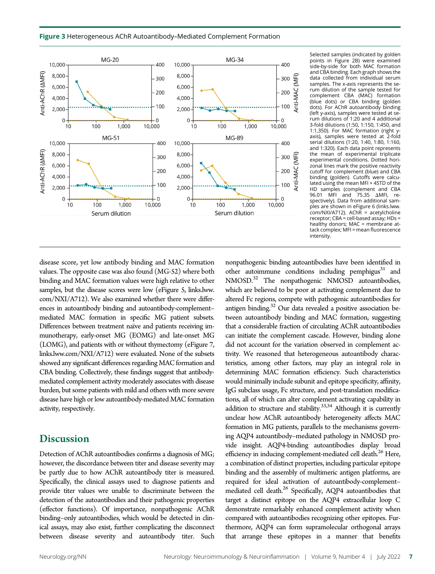Figure 3 Heterogeneous AChR Autoantibody–Mediated Complement Formation



Selected samples (indicated by golden points in Figure 2B) were examined side-by-side for both MAC formation and CBA binding. Each graph shows the data collected from individual serum samples. The x-axis represents the serum dilution of the sample tested for complement CBA (MAC) formation (blue dots) or CBA binding (golden dots). For AChR autoantibody binding (left y-axis), samples were tested at serum dilutions of 1:20 and 4 additional 3-fold dilutions (1:50, 1:150, 1:450, and 1:1,350). For MAC formation (right yaxis), samples were tested at 2-fold serial dilutions (1:20, 1:40, 1:80, 1:160, and 1:320). Each data point represents the mean of experimental triplicate experimental conditions. Dotted horizonal lines mark the positive reactivity cutoff for complement (blue) and CBA binding (golden). Cutoffs were calculated using the mean MFI + 4STD of the HD samples (complement and CBA 96.01 MFI and 75.35  $\triangle$ MFI, respectively). Data from additional samples are shown in eFigure 6 [\(links.lww.](http://links.lww.com/NXI/A712)  $com/NXI/A712$ ). ACh $\overline{R}$  = acetylcholine  $receptor$ ; CBA = cell-based assay; HDs = healthy donors; MAC = membrane attack complex; MFI = mean fluorescence intensity.

disease score, yet low antibody binding and MAC formation values. The opposite case was also found (MG-52) where both binding and MAC formation values were high relative to other samples, but the disease scores were low (eFigure 5, [links.lww.](http://links.lww.com/NXI/A712) [com/NXI/A712\)](http://links.lww.com/NXI/A712). We also examined whether there were differences in autoantibody binding and autoantibody-complement– mediated MAC formation in specific MG patient subsets. Differences between treatment naïve and patients receiving immunotherapy, early-onset MG (EOMG) and late-onset MG (LOMG), and patients with or without thymectomy (eFigure 7, [links.lww.com/NXI/A712](http://links.lww.com/NXI/A712)) were evaluated. None of the subsets showed any significant differences regarding MAC formation and CBA binding. Collectively, these findings suggest that antibodymediated complement activity moderately associates with disease burden, but some patients with mild and others with more severe disease have high or low autoantibody-mediated MAC formation activity, respectively.

# **Discussion**

Detection of AChR autoantibodies confirms a diagnosis of MG; however, the discordance between titer and disease severity may be partly due to how AChR autoantibody titer is measured. Specifically, the clinical assays used to diagnose patients and provide titer values wre unable to discriminate between the detection of the autoantibodies and their pathogenic properties (effector functions). Of importance, nonpathogenic AChR binding–only autoantibodies, which would be detected in clinical assays, may also exist, further complicating the disconnect between disease severity and autoantibody titer. Such nonpathogenic binding autoantibodies have been identified in other autoimmune conditions including pemphigus $31$  and NMOSD.32 The nonpathogenic NMOSD autoantibodies, which are believed to be poor at activating complement due to altered Fc regions, compete with pathogenic autoantibodies for antigen binding.<sup>32</sup> Our data revealed a positive association between autoantibody binding and MAC formation, suggesting that a considerable fraction of circulating AChR autoantibodies can initiate the complement cascade. However, binding alone did not account for the variation observed in complement activity. We reasoned that heterogeneous autoantibody characteristics, among other factors, may play an integral role in determining MAC formation efficiency. Such characteristics would minimally include subunit and epitope specificity, affinity, IgG subclass usage, Fc structure, and post-translation modifications, all of which can alter complement activating capability in addition to structure and stability. $33,34$  Although it is currently unclear how AChR autoantibody heterogeneity affects MAC formation in MG patients, parallels to the mechanisms governing AQP4 autoantibody–mediated pathology in NMOSD provide insight. AQP4-binding autoantibodies display broad efficiency in inducing complement-mediated cell death.<sup>26</sup> Here, a combination of distinct properties, including particular epitope binding and the assembly of multimeric antigen platforms, are required for ideal activation of autoantibody-complement– mediated cell death.<sup>26</sup> Specifically, AQP4 autoantibodies that target a distinct epitope on the AQP4 extracellular loop C demonstrate remarkably enhanced complement activity when compared with autoantibodies recognizing other epitopes. Furthermore, AQP4 can form supramolecular orthogonal arrays that arrange these epitopes in a manner that benefits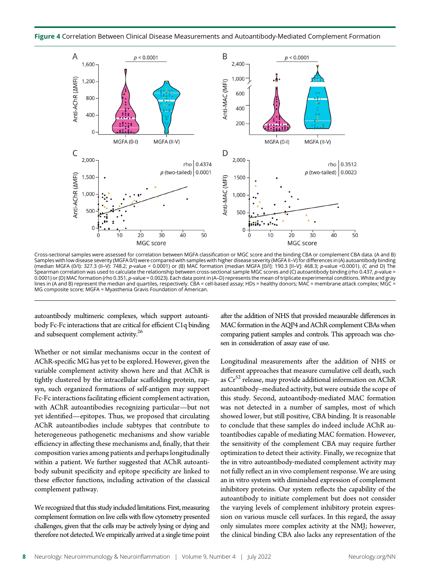Figure 4 Correlation Between Clinical Disease Measurements and Autoantibody-Mediated Complement Formation



Cross-sectional samples were assessed for correlation between MGFA classification or MGC score and the binding CBA or complement CBA data. (A and B) Samples with low disease severity (MGFA 0/I) were compared with samples with higher disease severity (MGFA II–V) for differences in (A) autoantibody binding (median MGFA (0/I): 327.3 (II–V): 748.2; p-value < 0.0001) or (B) MAC formation (median MGFA [0/I]: 190.3 [II–V]: 468.3; p-value <0.0001). (C and D) The Spearman correlation was used to calculate the relationship between cross-sectional sample MGC scores and (C) autoantibody binding (rho 0.437, p-value = 0.0001) or (D) MAC formation (rho 0.351, p-value = 0.0023). Each data point in (A–D) represents the mean of triplicate experimental conditions. White and gray lines in (A and B) represent the median and quartiles, respectively. CBA = cell-based assay; HDs = healthy donors; MAC = membrane attack complex; MGC = MG composite score; MGFA = Myasthenia Gravis Foundation of American.

autoantibody multimeric complexes, which support autoantibody Fc-Fc interactions that are critical for efficient C1q binding and subsequent complement activity.<sup>26</sup>

Whether or not similar mechanisms occur in the context of AChR-specific MG has yet to be explored. However, given the variable complement activity shown here and that AChR is tightly clustered by the intracellular scaffolding protein, rapsyn, such organized formations of self-antigen may support Fc-Fc interactions facilitating efficient complement activation, with AChR autoantibodies recognizing particular—but not yet identified—epitopes. Thus, we proposed that circulating AChR autoantibodies include subtypes that contribute to heterogeneous pathogenetic mechanisms and show variable efficiency in affecting these mechanisms and, finally, that their composition varies among patients and perhaps longitudinally within a patient. We further suggested that AChR autoantibody subunit specificity and epitope specificity are linked to these effector functions, including activation of the classical complement pathway.

We recognized that this study included limitations. First, measuring complement formation on live cells with flow cytometry presented challenges, given that the cells may be actively lysing or dying and therefore not detected.We empirically arrived at a single time point

after the addition of NHS that provided measurable differences in MAC formation in the AQP4 and AChR complement CBAs when comparing patient samples and controls. This approach was chosen in consideration of assay ease of use.

Longitudinal measurements after the addition of NHS or different approaches that measure cumulative cell death, such as  $Cr^{52}$  release, may provide additional information on AChR autoantibody–mediated activity, but were outside the scope of this study. Second, autoantibody-mediated MAC formation was not detected in a number of samples, most of which showed lower, but still positive, CBA binding. It is reasonable to conclude that these samples do indeed include AChR autoantibodies capable of mediating MAC formation. However, the sensitivity of the complement CBA may require further optimization to detect their activity. Finally, we recognize that the in vitro autoantibody-mediated complement activity may not fully reflect an in vivo complement response. We are using an in vitro system with diminished expression of complement inhibitory proteins. Our system reflects the capability of the autoantibody to initiate complement but does not consider the varying levels of complement inhibitory protein expression on various muscle cell surfaces. In this regard, the assay only simulates more complex activity at the NMJ; however, the clinical binding CBA also lacks any representation of the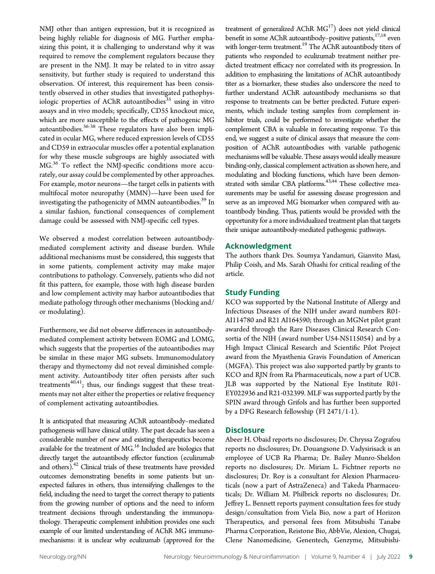NMJ other than antigen expression, but it is recognized as being highly reliable for diagnosis of MG. Further emphasizing this point, it is challenging to understand why it was required to remove the complement regulators because they are present in the NMJ. It may be related to in vitro assay sensitivity, but further study is required to understand this observation. Of interest, this requirement has been consistently observed in other studies that investigated pathophysiologic properties of AChR autoantibodies<sup>35</sup> using in vitro assays and in vivo models; specifically, CD55 knockout mice, which are more susceptible to the effects of pathogenic MG autoantibodies.36-38 These regulators have also been implicated in ocular MG, where reduced expression levels of CD55 and CD59 in extraocular muscles offer a potential explanation for why these muscle subgroups are highly associated with MG.<sup>36</sup> To reflect the NMJ-specific conditions more accurately, our assay could be complemented by other approaches. For example, motor neurons—the target cells in patients with multifocal motor neuropathy (MMN)—have been used for investigating the pathogenicity of MMN autoantibodies.<sup>39</sup> In a similar fashion, functional consequences of complement damage could be assessed with NMJ-specific cell types.

We observed a modest correlation between autoantibodymediated complement activity and disease burden. While additional mechanisms must be considered, this suggests that in some patients, complement activity may make major contributions to pathology. Conversely, patients who did not fit this pattern, for example, those with high disease burden and low complement activity may harbor autoantibodies that mediate pathology through other mechanisms (blocking and/ or modulating).

Furthermore, we did not observe differences in autoantibodymediated complement activity between EOMG and LOMG, which suggests that the properties of the autoantibodies may be similar in these major MG subsets. Immunomodulatory therapy and thymectomy did not reveal diminished complement activity. Autoantibody titer often persists after such treatments<sup>40,41</sup>; thus, our findings suggest that these treatments may not alter either the properties or relative frequency of complement activating autoantibodies.

It is anticipated that measuring AChR autoantibody–mediated pathogenesis will have clinical utility. The past decade has seen a considerable number of new and existing therapeutics become available for the treatment of MG.<sup>16</sup> Included are biologics that directly target the autoantibody effector function (eculizumab and others).<sup>42</sup> Clinical trials of these treatments have provided outcomes demonstrating benefits in some patients but unexpected failures in others, thus intensifying challenges to the field, including the need to target the correct therapy to patients from the growing number of options and the need to inform treatment decisions through understanding the immunopathology. Therapeutic complement inhibition provides one such example of our limited understanding of AChR MG immunomechanisms: it is unclear why eculizumab (approved for the

treatment of generalized AChR  $MG<sup>17</sup>$ ) does not yield clinical benefit in some AChR autoantibody–positive patients,<sup>17,18</sup> even with longer-term treatment.<sup>19</sup> The AChR autoantibody titers of patients who responded to eculizumab treatment neither predicted treatment efficacy nor correlated with its progression. In addition to emphasizing the limitations of AChR autoantibody titer as a biomarker, these studies also underscore the need to further understand AChR autoantibody mechanisms so that response to treatments can be better predicted. Future experiments, which include testing samples from complement inhibitor trials, could be performed to investigate whether the complement CBA is valuable in forecasting response. To this end, we suggest a suite of clinical assays that measure the composition of AChR autoantibodies with variable pathogenic mechanisms will be valuable. These assays would ideally measure binding-only, classical complement activation as shown here, and modulating and blocking functions, which have been demonstrated with similar CBA platforms.<sup>43,44</sup> These collective measurements may be useful for assessing disease progression and serve as an improved MG biomarker when compared with autoantibody binding. Thus, patients would be provided with the opportunity for a more individualized treatment plan that targets their unique autoantibody-mediated pathogenic pathways.

#### Acknowledgment

The authors thank Drs. Soumya Yandamuri, Gianvito Masi, Philip Coish, and Ms. Sarah Ohashi for critical reading of the article.

# Study Funding

KCO was supported by the National Institute of Allergy and Infectious Diseases of the NIH under award numbers R01- AI114780 and R21 AI164590; through an MGNet pilot grant awarded through the Rare Diseases Clinical Research Consortia of the NIH (award number U54-NS115054) and by a High Impact Clinical Research and Scientific Pilot Project award from the Myasthenia Gravis Foundation of American (MGFA). This project was also supported partly by grants to KCO and RJN from Ra Pharmaceuticals, now a part of UCB. JLB was supported by the National Eye Institute R01- EY022936 and R21-032399. MLF was supported partly by the SPIN award through Grifols and has further been supported by a DFG Research fellowship (FI 2471/1-1).

#### **Disclosure**

Abeer H. Obaid reports no disclosures; Dr. Chryssa Zografou reports no disclosures; Dr. Douangsone D. Vadysirisack is an employee of UCB Ra Pharma; Dr. Bailey Munro-Sheldon reports no disclosures; Dr. Miriam L. Fichtner reports no disclosures; Dr. Roy is a consultant for Alexion Pharmaceuticals (now a part of AstraZeneca) and Takeda Pharmaceuticals; Dr. William M. Philbrick reports no disclosures; Dr. Jeffrey L. Bennett reports payment consultation fees for study design/consultation from Viela Bio, now a part of Horizon Therapeutics, and personal fees from Mitsubishi Tanabe Pharma Corporation, Reistone Bio, AbbVie, Alexion, Chugai, Clene Nanomedicine, Genentech, Genzyme, Mitsubishi-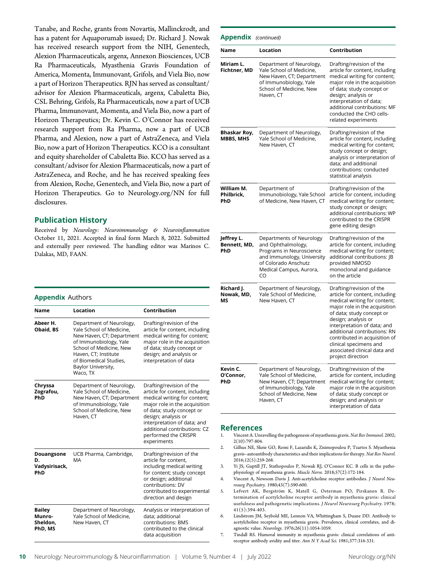Tanabe, and Roche, grants from Novartis, Mallinckrodt, and has a patent for Aquaporumab issued; Dr. Richard J. Nowak has received research support from the NIH, Genentech, Alexion Pharmaceuticals, argenx, Annexon Biosciences, UCB Ra Pharmaceuticals, Myasthenia Gravis Foundation of America, Momenta, Immunovant, Grifols, and Viela Bio, now a part of Horizon Therapeutics. RJN has served as consultant/ advisor for Alexion Pharmaceuticals, argenx, Cabaletta Bio, CSL Behring, Grifols, Ra Pharmaceuticals, now a part of UCB Pharma, Immunovant, Momenta, and Viela Bio, now a part of Horizon Therapeutics; Dr. Kevin C. O'Connor has received research support from Ra Pharma, now a part of UCB Pharma, and Alexion, now a part of AstraZeneca, and Viela Bio, now a part of Horizon Therapeutics. KCO is a consultant and equity shareholder of Cabaletta Bio. KCO has served as a consultant/advisor for Alexion Pharmaceuticals, now a part of AstraZeneca, and Roche, and he has received speaking fees from Alexion, Roche, Genentech, and Viela Bio, now a part of Horizon Therapeutics. Go to [Neurology.org/NN](https://nn.neurology.org/content/9/4/e169/tab-article-info) for full disclosures.

# Publication History

Received by Neurology: Neuroimmunology & Neuroinflammation October 11, 2021. Accepted in final form March 8, 2022. Submitted and externally peer reviewed. The handling editor was Marinos C. Dalakas, MD, FAAN.

#### **Appendix Authors**

| Name                                           | Location                                                                                                                                                                                                                   | Contribution                                                                                                                                                                                                                                                                          |
|------------------------------------------------|----------------------------------------------------------------------------------------------------------------------------------------------------------------------------------------------------------------------------|---------------------------------------------------------------------------------------------------------------------------------------------------------------------------------------------------------------------------------------------------------------------------------------|
| Abeer H.<br>Obaid, BS                          | Department of Neurology,<br>Yale School of Medicine.<br>New Haven, CT; Department<br>of Immunobiology, Yale<br>School of Medicine, New<br>Haven, CT; Institute<br>of Biomedical Studies,<br>Baylor University,<br>Waco, TX | Drafting/revision of the<br>article for content, including<br>medical writing for content;<br>major role in the acquisition<br>of data; study concept or<br>design; and analysis or<br>interpretation of data                                                                         |
| Chryssa<br>Zografou,<br>PhD                    | Department of Neurology,<br>Yale School of Medicine.<br>New Haven, CT; Department<br>of Immunobiology, Yale<br>School of Medicine, New<br>Haven, CT                                                                        | Drafting/revision of the<br>article for content, including<br>medical writing for content;<br>major role in the acquisition<br>of data; study concept or<br>design; analysis or<br>interpretation of data; and<br>additional contributions: CZ<br>performed the CRISPR<br>experiments |
| Douangsone<br>D.<br>Vadysirisack,<br>PhD       | UCB Pharma, Cambridge,<br>MA                                                                                                                                                                                               | Drafting/revision of the<br>article for content.<br>including medical writing<br>for content; study concept<br>or design; additional<br>contributions: DV<br>contributed to experimental<br>direction and design                                                                      |
| <b>Bailey</b><br>Munro-<br>Sheldon,<br>PhD, MS | Department of Neurology,<br>Yale School of Medicine.<br>New Haven, CT                                                                                                                                                      | Analysis or interpretation of<br>data; additional<br>contributions: BMS<br>contributed to the clinical<br>data acquisition                                                                                                                                                            |

| <b>Appendix</b> (continued)       |                                                                                                                                                                   |                                                                                                                                                                                                                                                                                                                                                                |  |
|-----------------------------------|-------------------------------------------------------------------------------------------------------------------------------------------------------------------|----------------------------------------------------------------------------------------------------------------------------------------------------------------------------------------------------------------------------------------------------------------------------------------------------------------------------------------------------------------|--|
| Name                              | Location                                                                                                                                                          | Contribution                                                                                                                                                                                                                                                                                                                                                   |  |
| Miriam L.<br>Fichtner, MD         | Department of Neurology,<br>Yale School of Medicine,<br>New Haven, CT; Department<br>of Immunobiology, Yale<br>School of Medicine, New<br>Haven, CT               | Drafting/revision of the<br>article for content, including<br>medical writing for content;<br>major role in the acquisition<br>of data; study concept or<br>design; analysis or<br>interpretation of data;<br>additional contributions: MF<br>conducted the CHO cells-<br>related experiments                                                                  |  |
| Bhaskar Roy,<br><b>MBBS, MHS</b>  | Department of Neurology,<br>Yale School of Medicine,<br>New Haven, CT                                                                                             | Drafting/revision of the<br>article for content, including<br>medical writing for content;<br>study concept or design;<br>analysis or interpretation of<br>data; and additional<br>contributions: conducted<br>statistical analysis                                                                                                                            |  |
| William M.<br>Philbrick,<br>PhD   | Department of<br>Immunobiology, Yale School<br>of Medicine, New Haven, CT                                                                                         | Drafting/revision of the<br>article for content, including<br>medical writing for content;<br>study concept or design;<br>additional contributions: WP<br>contributed to the CRISPR<br>gene editing design                                                                                                                                                     |  |
| Jeffrey L.<br>Bennett, MD,<br>PhD | Departments of Neurology<br>and Ophthalmology,<br>Programs in Neuroscience<br>and Immunology, University<br>of Colorado Anschutz<br>Medical Campus, Aurora,<br>CO | Drafting/revision of the<br>article for content, including<br>medical writing for content;<br>additional contributions: JB<br>provided NMOSD<br>monoclonal and guidance<br>on the article                                                                                                                                                                      |  |
| Richard J.<br>Nowak, MD,<br>MS    | Department of Neurology,<br>Yale School of Medicine,<br>New Haven, CT                                                                                             | Drafting/revision of the<br>article for content, including<br>medical writing for content;<br>major role in the acquisition<br>of data; study concept or<br>design; analysis or<br>interpretation of data; and<br>additional contributions: RN<br>contributed in acquisition of<br>clinical specimens and<br>associated clinical data and<br>project direction |  |
| Kevin C.<br>O'Connor,<br>PhD      | Department of Neurology,<br>Yale School of Medicine,<br>New Haven, CT; Department<br>of Immunobiology, Yale<br>School of Medicine, New<br>Haven, CT               | Drafting/revision of the<br>article for content, including<br>medical writing for content;<br>major role in the acquisition<br>of data; study concept or<br>design; and analysis or<br>interpretation of data                                                                                                                                                  |  |

#### References

- 1. Vincent A. Unravelling the pathogenesis of myasthenia gravis. Nat Rev Immunol. 2002; 2(10):797-804.
- 2. Gilhus NE, Skeie GO, Romi F, Lazaridis K, Zisimopoulou P, Tzartos S. Myasthenia gravis–autoantibody characteristics and their implications for therapy. Nat Rev Neurol. 2016;12(5):259-268.
- 3. Yi JS, Guptill JT, Stathopoulos P, Nowak RJ, O'Connor KC. B cells in the pathophysiology of myasthenia gravis. Muscle Nerve. 2018;57(2):172-184.
- 4. Vincent A, Newsom Davis J. Anti-acetylcholine receptor antibodies. J Neurol Neurosurg Psychiatry. 1980;43(7):590-600.
- 5. Lefvert AK, Bergström K, Matell G, Osterman PO, Pirskanen R. Determination of acetylcholine receptor antibody in myasthenia gravis: clinical usefulness and pathogenetic implications. J Neurol Neurosurg Psychiatry. 1978; 41(5):394-403.
- 6. Lindstrom JM, Seybold ME, Lennon VA, Whittingham S, Duane DD. Antibody to acetylcholine receptor in myasthenia gravis. Prevalence, clinical correlates, and diagnostic value. Neurology. 1976;26(11):1054-1059.
- 7. Tindall RS. Humoral immunity in myasthenia gravis: clinical correlations of antireceptor antibody avidity and titer. Ann N Y Acad Sci. 1981;377:316-331.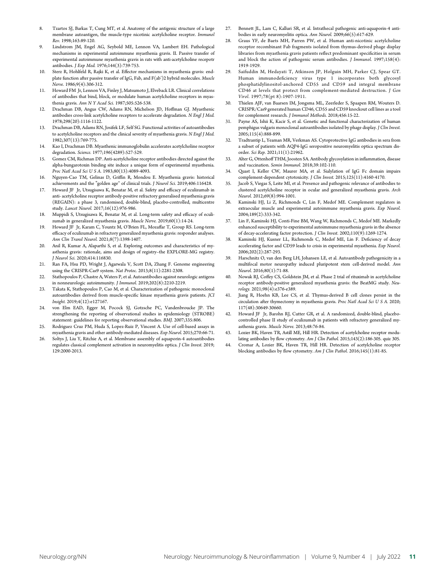- Tzartos SJ, Barkas T, Cung MT, et al. Anatomy of the antigenic structure of a large membrane autoantigen, the muscle-type nicotinic acetylcholine receptor. Immunol Rev. 1998;163:89-120.
- 9. Lindstrom JM, Engel AG, Seybold ME, Lennon VA, Lambert EH. Pathological mechanisms in experimental autoimmune myasthenia gravis. II. Passive transfer of experimental autoimmune myasthenia gravis in rats with anti-acetylcholine recepotr antibodies. J Exp Med. 1976;144(3):739-753.
- 10. Sterz R, Hohlfeld R, Rajki K, et al. Effector mechanisms in myasthenia gravis: endplate function after passive transfer of IgG, Fab, and F(ab')2 hybrid molecules. Muscle Nerve. 1986;9(4):306-312.
- 11. Howard FM Jr, Lennon VA, Finley J, Matsumoto J, Elveback LR. Clinical correlations of antibodies that bind, block, or modulate human acetylcholine receptors in myasthenia gravis. Ann N Y Acad Sci. 1987;505:526-538.
- 12. Drachman DB, Angus CW, Adams RN, Michelson JD, Hoffman GJ. Myasthenic antibodies cross-link acetylcholine receptors to accelerate degradation. N Engl J Med. 1978;298(20):1116-1122.
- 13. Drachman DB, Adams RN, Josifek LF, Self SG. Functional activities of autoantibodies to acetylcholine receptors and the clinical severity of myasthenia gravis. N Engl J Med. 1982;307(13):769-775.
- 14. Kao I, Drachman DB. Myasthenic immunoglobulin accelerates acetylcholine receptor degradation. Science. 1977;196(4289):527-529.
- 15. Gomez CM, Richman DP. Anti-acetylcholine receptor antibodies directed against the alpha-bungarotoxin binding site induce a unique form of experimental myasthenia. Proc Natl Acad Sci U S A. 1983;80(13):4089-4093.
- 16. Nguyen-Cao TM, Gelinas D, Griffin R, Mondou E. Myasthenia gravis: historical achievements and the "golden age" of clinical trials. *J Neurol Sci.* 2019;406:116428.
- 17. Howard JF Jr, Utsugisawa K, Benatar M, et al. Safety and efficacy of eculizumab in anti- acetylcholine receptor antibody-positive refractory generalised myasthenia gravis (REGAIN): a phase 3, randomised, double-blind, placebo-controlled, multicentre study. Lancet Neurol. 2017;16(12):976-986.
- 18. Muppidi S, Utsugisawa K, Benatar M, et al. Long-term safety and efficacy of eculizumab in generalized myasthenia gravis. Muscle Nerve. 2019;60(1):14-24.
- 19. Howard JF Jr, Karam C, Yountz M, O'Brien FL, Mozaffar T, Group RS. Long-term efficacy of eculizumab in refractory generalized myasthenia gravis: responder analyses. Ann Clin Transl Neurol. 2021;8(7):1398-1407.
- 20. Anil R, Kumar A, Alaparthi S, et al. Exploring outcomes and characteristics of myasthenia gravis: rationale, aims and design of registry–the EXPLORE-MG registry. J Neurol Sci. 2020;414:116830.
- 21. Ran FA, Hsu PD, Wright J, Agarwala V, Scott DA, Zhang F. Genome engineering using the CRISPR-Cas9 system. Nat Protoc. 2013;8(11):2281-2308.
- 22. Stathopoulos P, Chastre A, Waters P, et al. Autoantibodies against neurologic antigens in nonneurologic autoimmunity. J Immunol. 2019;202(8):2210-2219.
- 23. Takata K, Stathopoulos P, Cao M, et al. Characterization of pathogenic monoclonal autoantibodies derived from muscle-specific kinase myasthenia gravis patients. JCI Insight. 2019;4(12):e127167.
- von Elm EAD, Egger M, Pocock SJ, Gotzsche PC, Vandenbroucke JP. The strengthening the reporting of observational studies in epidemiology (STROBE) statement: guidelines for reporting observational studies. BMJ. 2007;335:806.
- 25. Rodriguez Cruz PM, Huda S, Lopez-Ruiz P, Vincent A. Use of cell-based assays in myasthenia gravis and other antibody-mediated diseases. Exp Neurol. 2015;270:66-71.
- 26. Soltys J, Liu Y, Ritchie A, et al. Membrane assembly of aquaporin-4 autoantibodies regulates classical complement activation in neuromyelitis optica. J Clin Invest. 2019; 129:2000-2013.
- 27. Bennett JL, Lam C, Kalluri SR, et al. Intrathecal pathogenic anti-aquaporin-4 antibodies in early neuromyelitis optica. Ann Neurol. 2009;66(5):617-629.
- 28. Graus YF, de Baets MH, Parren PW, et al. Human anti-nicotinic acetylcholine receptor recombinant Fab fragments isolated from thymus-derived phage display libraries from myasthenia gravis patients reflect predominant specificities in serum and block the action of pathogenic serum antibodies. J Immunol. 1997;158(4): 1919-1929.
- 29. Saifuddin M, Hedayati T, Atkinson JP, Holguin MH, Parker CJ, Spear GT. Human immunodeficiency virus type 1 incorporates both glycosyl phosphatidylinositol-anchored CD55 and CD59 and integral membrane CD46 at levels that protect from complement-mediated destruction. J Gen Virol. 1997;78(pt 8):1907-1911.
- 30. Thielen AJF, van Baarsen IM, Jongsma ML, Zeerleder S, Spaapen RM, Wouters D. CRISPR/Cas9 generated human CD46, CD55 and CD59 knockout cell lines as a tool for complement research. J Immunol Methods. 2018;456:15-22.
- 31. Payne AS, Ishii K, Kacir S, et al. Genetic and functional characterization of human pemphigus vulgaris monoclonal autoantibodies isolated by phage display. J Clin Invest. 2005;115(4):888-899.
- 32. Tradtrantip L, Yeaman MR, Verkman AS. Cytoprotective IgG antibodies in sera from a subset of patients with AQP4-IgG seropositive neuromyelitis optica spectrum disorder. Sci Rep. 2021;11(1):21962.
- 33. Alter G, Ottenhoff THM, Joosten SA. Antibody glycosylation in inflammation, disease and vaccination. Semin Immunol. 2018;39:102-110.
- 34. Quast I, Keller CW, Maurer MA, et al. Sialylation of IgG Fc domain impairs complement-dependent cytotoxicity. J Clin Invest. 2015;125(11):4160-4170.
- 35. Jacob S, Viegas S, Leite MI, et al. Presence and pathogenic relevance of antibodies to clustered acetylcholine receptor in ocular and generalized myasthenia gravis. Arch Neurol. 2012;69(8):994-1001.
- 36. Kaminski HJ, Li Z, Richmonds C, Lin F, Medof ME. Complement regulators in extraocular muscle and experimental autoimmune myasthenia gravis. Exp Neurol. 2004;189(2):333-342.
- 37. Lin F, Kaminski HJ, Conti-Fine BM, Wang W, Richmonds C, Medof ME. Markedly enhanced susceptibility to experimental autoimmune myasthenia gravis in the absence of decay-accelerating factor protection. J Clin Invest. 2002;110(9):1269-1274.
- 38. Kaminski HJ, Kusner LL, Richmonds C, Medof ME, Lin F. Deficiency of decay accelerating factor and CD59 leads to crisis in experimental myasthenia. Exp Neurol. 2006;202(2):287-293.
- 39. Harschnitz O, van den Berg LH, Johansen LE, et al. Autoantibody pathogenicity in a multifocal motor neuropathy induced pluripotent stem cell-derived model. Ann Neurol. 2016;80(1):71-88.
- 40. Nowak RJ, Coffey CS, Goldstein JM, et al. Phase 2 trial of rituximab in acetylcholine receptor antibody-positive generalized myasthenia gravis: the BeatMG study. Neurology. 2021;98(4):e376-e389.
- 41. Jiang R, Hoehn KB, Lee CS, et al. Thymus-derived B cell clones persist in the circulation after thymectomy in myasthenia gravis. Proc Natl Acad Sci U S A. 2020; 117(48):30649-30660.
- 42. Howard JF Jr, Barohn RJ, Cutter GR, et al. A randomized, double-blind, placebocontrolled phase II study of eculizumab in patients with refractory generalized myasthenia gravis. Muscle Nerve. 2013;48:76-84.
- 43. Lozier BK, Haven TR, Astill ME, Hill HR. Detection of acetylcholine receptor modulating antibodies by flow cytometry. Am J Clin Pathol. 2015;143(2):186-305. quiz 305.
- 44. Cromar A, Lozier BK, Haven TR, Hill HR. Detection of acetylcholine receptor blocking antibodies by flow cytometry. Am J Clin Pathol. 2016;145(1):81-85.